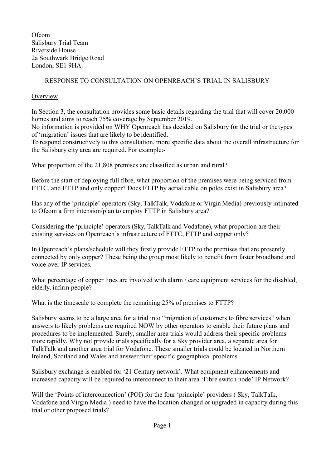**Ofcom** Salisbury Trial Team Riverside House 2a Southwark Bridge Road London, SE1 9HA.

# RESPONSE TO CONSULTATION ON OPENREACH'S TRIAL IN SALISBURY

## **Overview**

In Section 3, the consultation provides some basic details regarding the trial that will cover 20,000 homes and aims to reach 75% coverage by September 2019.

No information is provided on WHY Openreach has decided on Salisbury for the trial or thetypes of 'migration' issues that are likely to be identified.

To respond constructively to this consultation, more specific data about the overall infrastructure for the Salisbury city area are required. For example:-

What proportion of the 21,808 premises are classified as urban and rural?

Before the start of deploying full fibre, what proportion of the premises were being serviced from FTTC, and FTTP and only copper? Does FTTP by aerial cable on poles exist in Salisbury area?

Has any of the 'principle' operators (Sky, TalkTalk, Vodafone or Virgin Media) previously intimated to Ofcom a firm intension/plan to employ FTTP in Salisbury area?

Considering the 'principle' operators (Sky, TalkTalk and Vodafone), what proportion are their existing services on Openreach's infrastructure of FTTC, FTTP and copper only?

In Openreach's plans/schedule will they firstly provide FTTP to the premises that are presently connected by only copper? These being the group most likely to benefit from faster broadband and voice over IP services.

What percentage of copper lines are involved with alarm / care equipment services for the disabled, elderly, infirm people?

What is the timescale to complete the remaining 25% of premises to FTTP?

Salisbury seems to be a large area for a trial into "migration of customers to fibre services" when answers to likely problems are required NOW by other operators to enable their future plans and procedures to be implemented. Surely, smaller area trials would address their specific problems more rapidly. Why not provide trials specifically for a Sky provider area, a separate area for TalkTalk and another area trial for Vodafone. These smaller trials could be located in Northern Ireland, Scotland and Wales and answer their specific geographical problems.

Salisbury exchange is enabled for '21 Century network'. What equipment enhancements and increased capacity will be required to interconnect to their area 'Fibre switch node' IP Network?

Will the 'Points of interconnection' (POI) for the four 'principle' providers (Sky, TalkTalk, Vodafone and Virgin Media ) need to have the location changed or upgraded in capacity during this trial or other proposed trials?